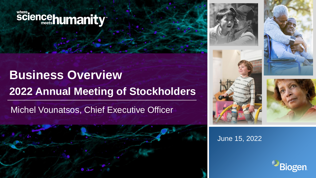# sciencehumanity

# **Business Overview 2022 Annual Meeting of Stockholders**

Michel Vounatsos, Chief Executive Officer











June 15, 2022

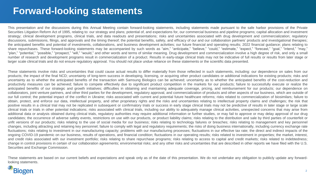## **Forward-looking statements**

This presentation and the discussions during this Annual Meeting contain forward-looking statements, including statements made pursuant to the safe harbor provisions of the Private Securities Litigation Reform Act of 1995, relating to: our strategy and plans; potential of, and expectations for, our commercial business and pipeline programs; capital allocation and investment strategy; clinical development programs, clinical trials, and data readouts and presentations; risks and uncertainties associated with drug development and commercialization; regulatory discussions, submissions, filings, and approvals and the timing thereof; the potential benefits, safety, and efficacy of our and our collaboration partners' products and investigational therapies; the anticipated benefits and potential of investments, collaborations, and business development activities; our future financial and operating results; 2022 financial guidance; plans relating to share repurchases. These forward-looking statements may be accompanied by such words as "aim," "anticipate," "believe," "could," "estimate," "expect," "forecast," "goal," "intend," "may," "plan," "potential," "possible," "prospect," "will," "would," and other words and terms of similar meaning. Drug development and commercialization involve a high degree of risk, and only a small number of research and development programs result in commercialization of a product. Results in early-stage clinical trials may not be indicative of full results or results from later stage or larger scale clinical trials and do not ensure regulatory approval. You should not place undue reliance on these statements or the scientific data presented.

These statements involve risks and uncertainties that could cause actual results to differ materially from those reflected in such statements, including: our dependence on sales from our products; the impact of the final NCD; uncertainty of long-term success in developing, licensing, or acquiring other product candidates or additional indications for existing products; risks and uncertainty as to whether the anticipated benefits of the transaction with Samsung Biologics can be achieved; uncertainty as to whether the anticipated benefits of the cost-reduction and productivity measures can be achieved; failure to compete effectively due to significant product competition in the markets for our products; failure to successfully execute or realize the anticipated benefits of our strategic and growth initiatives; difficulties in obtaining and maintaining adequate coverage, pricing, and reimbursement for our products; our dependence on collaborators, joint venture partners, and other third parties for the development, regulatory approval, and commercialization of products and other aspects of our business, which are outside of our full control; the potential impact of the conflict in Ukraine; risks associated with current and potential future healthcare reforms; risks related to commercialization of biosimilars; failure to obtain, protect, and enforce our data, intellectual property, and other proprietary rights and the risks and uncertainties relating to intellectual property claims and challenges; the risk that positive results in a clinical trial may not be replicated in subsequent or confirmatory trials or success in early stage clinical trials may not be predictive of results in later stage or large scale clinical trials or trials in other potential indications; risks associated with clinical trials, including our ability to adequately manage clinical activities, unexpected concerns that may arise from additional data or analysis obtained during clinical trials, regulatory authorities may require additional information or further studies, or may fail to approve or may delay approval of our drug candidates; the occurrence of adverse safety events, restrictions on use with our products, or product liability claims; risks relating to the distribution and sale by third parties of counterfeit or unfit versions of our products; risks relating to the use of social media for our business; risks relating to technology failures or breaches; risks relating to management and key personnel changes, including attracting and retaining key personnel; failure to comply with legal and regulatory requirements; the risks of doing business internationally, including currency exchange rate fluctuations; risks relating to investment in our manufacturing capacity; problems with our manufacturing processes; fluctuations in our effective tax rate; the direct and indirect impacts of the ongoing COVID-19 pandemic on our business, results of operations, and financial condition; fluctuations in our operating results; risks related to investment in properties; the market, interest, and credit risks associated with our investment portfolio; risks relating to share repurchase programs; risks relating to access to capital and credit markets; risks related to indebtedness; change in control provisions in certain of our collaboration agreements; environmental risks; and any other risks and uncertainties that are described in other reports we have filed with the U.S. Securities and Exchange Commission.

These statements are based on our current beliefs and expectations and speak only as of the date of this presentation. We do not undertake any obligation to publicly update any forwardlooking statements.

## **Biogen**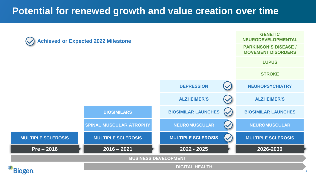## **Potential for renewed growth and value creation over time**

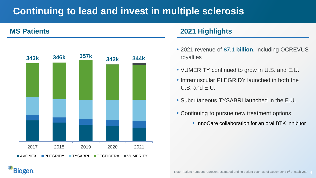## **Continuing to lead and invest in multiple sclerosis**

**Biogen** 



#### **MS Patients 2021 Highlights**

- 2021 revenue of **\$7.1 billion**, including OCREVUS royalties
- VUMERITY continued to grow in U.S. and E.U.
- Intramuscular PLEGRIDY launched in both the U.S. and E.U.
- Subcutaneous TYSABRI launched in the E.U.
- Continuing to pursue new treatment options
	- InnoCare collaboration for an oral BTK inhibitor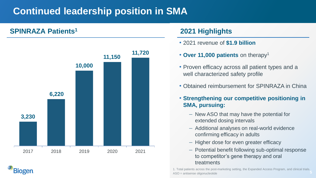## **Continued leadership position in SMA**

### **SPINRAZA Patients<sup>1</sup> 2021 Highlights**

**Biogen** 



- 2021 revenue of **\$1.9 billion**
- **Over 11,000 patients** on therapy<sup>1</sup>
- Proven efficacy across all patient types and a well characterized safety profile
- Obtained reimbursement for SPINRAZA in China
- **Strengthening our competitive positioning in SMA, pursuing:**
	- New ASO that may have the potential for extended dosing intervals
	- Additional analyses on real-world evidence confirming efficacy in adults
	- Higher dose for even greater efficacy
	- Potential benefit following sub-optimal response to competitor's gene therapy and oral treatments

5 1. Total patients across the post-marketing setting, the Expanded Access Program, and clinical trials. ASO = antisense oligonucleotide **5**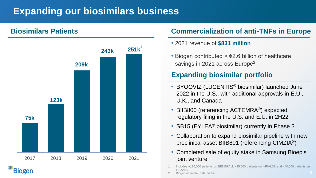## **Expanding our biosimilars business**



### **Biosimilars Patients Commercialization of anti-TNFs in Europe**

- 2021 revenue of **\$831 million**
- Biogen contributed  $> \epsilon$ 2.6 billion of healthcare savings in 2021 across Europe<sup>2</sup>

### **Expanding biosimilar portfolio**

- BYOOVIZ (LUCENTIS® biosimilar) launched June 2022 in the U.S., with additional approvals in E.U., U.K., and Canada
- BIIB800 (referencing ACTEMRA<sup>®</sup>) expected regulatory filing in the U.S. and E.U. in 2H22
- SB15 (EYLEA<sup>®</sup> biosimilar) currently in Phase 3
- Collaboration to expand biosimilar pipeline with new preclinical asset BIIB801 (referencing CIMZIA®)
- Completed sale of equity stake in Samsung Bioepis joint venture
- Includes ~116,000 patients on BENEPALI, ~95,000 patients on IMRALDI, and ~40,000 patients on **FI IXABI**
- Biogen estimate, data on file.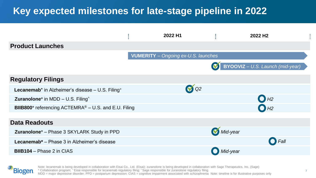## **Key expected milestones for late-stage pipeline in 2022**



**Biogen** 

Note: lecanemab is being developed in collaboration with Eisai Co., Ltd. (Eisai); zuranolone is being developed in collaboration with Sage Therapeutics, Inc. (Sage) \* Collaboration program; <sup>+</sup>Eisai responsible for lecanemab regulatory filing; ^ Sage responsible for zuranolone regulatory filing  $MDD$  = major depressive disorder; PPD = postpartum depression; CIAS = cognitive impairment associated with schizophrenia Note: timeline is for illustrative purposes only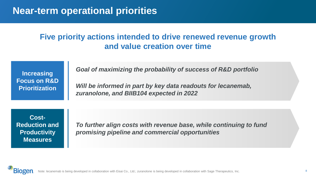## **Near-term operational priorities**

### **Five priority actions intended to drive renewed revenue growth and value creation over time**

**Increasing Focus on R&D Prioritization**

*Goal of maximizing the probability of success of R&D portfolio*

*Will be informed in part by key data readouts for lecanemab, zuranolone, and BIIB104 expected in 2022*

**Cost-Reduction and Productivity Measures** 

*To further align costs with revenue base, while continuing to fund promising pipeline and commercial opportunities*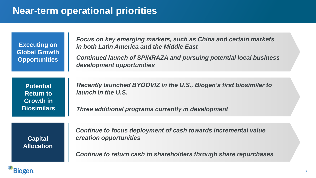## **Near-term operational priorities**

**Executing on Global Growth Opportunities**

*Focus on key emerging markets, such as China and certain markets in both Latin America and the Middle East*

*Continued launch of SPINRAZA and pursuing potential local business development opportunities*

**Potential Return to Growth in Biosimilars**  *Recently launched BYOOVIZ in the U.S., Biogen's first biosimilar to launch in the U.S.*

*Three additional programs currently in development*

**Capital Allocation** *Continue to focus deployment of cash towards incremental value creation opportunities*

*Continue to return cash to shareholders through share repurchases*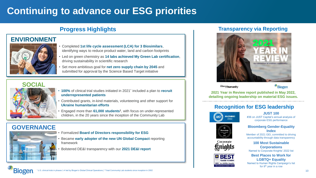## **Continuing to advance our ESG priorities**

#### **ENVIRONMENT**



#### • Completed **1st life cycle assessment (LCA) for 3 Biosimilars**, identifying ways to reduce product water, land and carbon footprints

- Led on green chemistry as **14 labs achieved My Green Lab certification**, driving sustainability in scientific research
- Set more ambitious goal for **net zero supply chain by 2045** and submitted for approval by the Science Based Target initiative

#### **SOCIAL**



- **100%** of clinical trial studies initiated in 2021^ included a plan to **recruit underrepresented patients**
- Contributed grants, in-kind materials, volunteering and other support for **Ukraine humanitarian efforts**
- Engaged more than **61,000 students<sup>1</sup>** , with focus on under-represented children, in the 20 years since the inception of the Community Lab

#### **GOVERNANCE**



• Formalized **Board of Directors responsibility for ESG**

• Became **early adopter of the new UN Global Compact** reporting framework

• Bolstered DE&I transparency with our **2021 DE&I report**

#### **Progress Highlights Transparency via Reporting**



sciencehumanity

<sup>3</sup>Biogen

**2021 Year in Review report published in May 2022, detailing ongoing leadership on material ESG issues.**

#### **Recognition for ESG leadership**



Corporate

BS

**JUST 100** #36 on JUST Capital's annual analysis of corporate ESG performance

#### **Bloomberg Gender-Equality Index**

Member of 2021 GEI, committed to driving accountability through data transparency

> **100 Most Sustainable Corporations**

Named to Corporate Knights' 2022 list

**Best Places to Work for LGBTQ+ Equality** Named to Human Rights Campaign's list for 8<sup>th</sup> year in a row